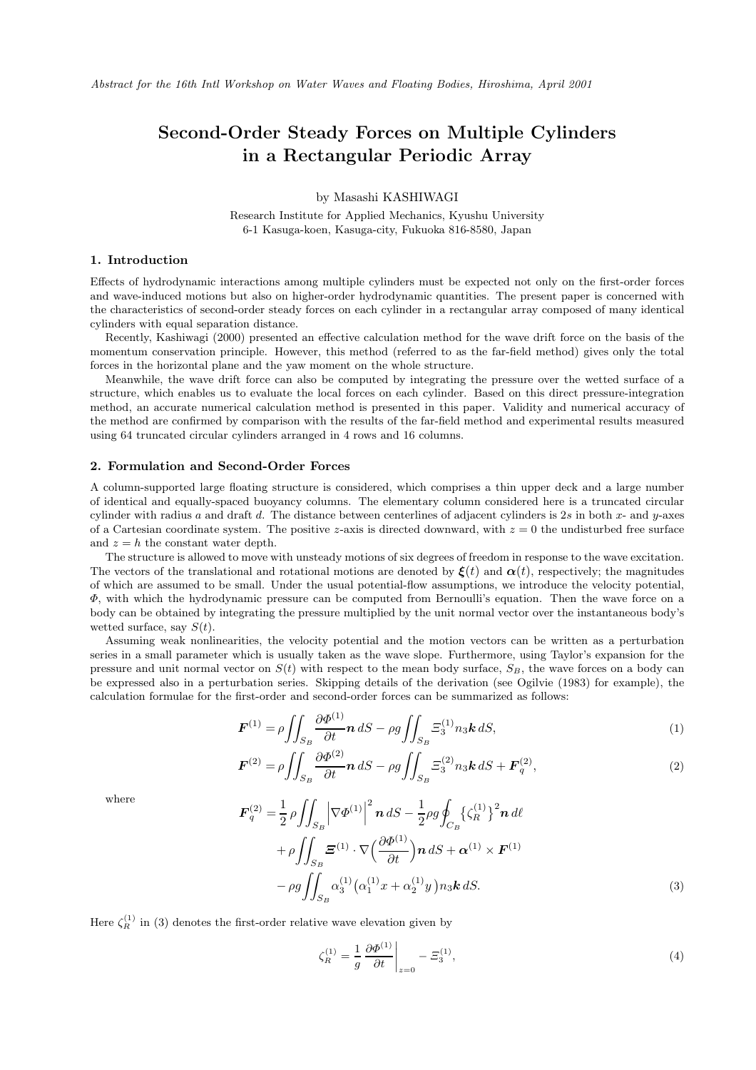# **Second-Order Steady Forces on Multiple Cylinders in a Rectangular Periodic Array**

by Masashi KASHIWAGI

Research Institute for Applied Mechanics, Kyushu University 6-1 Kasuga-koen, Kasuga-city, Fukuoka 816-8580, Japan

# **1. Introduction**

Effects of hydrodynamic interactions among multiple cylinders must be expected not only on the first-order forces and wave-induced motions but also on higher-order hydrodynamic quantities. The present paper is concerned with the characteristics of second-order steady forces on each cylinder in a rectangular array composed of many identical cylinders with equal separation distance.

Recently, Kashiwagi (2000) presented an effective calculation method for the wave drift force on the basis of the momentum conservation principle. However, this method (referred to as the far-field method) gives only the total forces in the horizontal plane and the yaw moment on the whole structure.

Meanwhile, the wave drift force can also be computed by integrating the pressure over the wetted surface of a structure, which enables us to evaluate the local forces on each cylinder. Based on this direct pressure-integration method, an accurate numerical calculation method is presented in this paper. Validity and numerical accuracy of the method are confirmed by comparison with the results of the far-field method and experimental results measured using 64 truncated circular cylinders arranged in 4 rows and 16 columns.

#### **2. Formulation and Second-Order Forces**

A column-supported large floating structure is considered, which comprises a thin upper deck and a large number of identical and equally-spaced buoyancy columns. The elementary column considered here is a truncated circular cylinder with radius a and draft d. The distance between centerlines of adjacent cylinders is  $2s$  in both x- and y-axes of a Cartesian coordinate system. The positive z-axis is directed downward, with  $z = 0$  the undisturbed free surface and  $z = h$  the constant water depth.

The structure is allowed to move with unsteady motions of six degrees of freedom in response to the wave excitation. The vectors of the translational and rotational motions are denoted by  $\xi(t)$  and  $\alpha(t)$ , respectively; the magnitudes of which are assumed to be small. Under the usual potential-flow assumptions, we introduce the velocity potential,  $\Phi$ , with which the hydrodynamic pressure can be computed from Bernoulli's equation. Then the wave force on a body can be obtained by integrating the pressure multiplied by the unit normal vector over the instantaneous body's wetted surface, say  $S(t)$ .

Assuming weak nonlinearities, the velocity potential and the motion vectors can be written as a perturbation series in a small parameter which is usually taken as the wave slope. Furthermore, using Taylor's expansion for the pressure and unit normal vector on  $S(t)$  with respect to the mean body surface,  $S_B$ , the wave forces on a body can be expressed also in a perturbation series. Skipping details of the derivation (see Ogilvie (1983) for example), the calculation formulae for the first-order and second-order forces can be summarized as follows:

$$
\boldsymbol{F}^{(1)} = \rho \iint_{S_B} \frac{\partial \Phi^{(1)}}{\partial t} \boldsymbol{n} \, dS - \rho g \iint_{S_B} \Xi_3^{(1)} n_3 \boldsymbol{k} \, dS,\tag{1}
$$

$$
\boldsymbol{F}^{(2)} = \rho \iint_{S_B} \frac{\partial \Phi^{(2)}}{\partial t} \boldsymbol{n} \, dS - \rho g \iint_{S_B} \Xi_3^{(2)} n_3 \boldsymbol{k} \, dS + \boldsymbol{F}_q^{(2)},\tag{2}
$$

where

$$
\mathbf{F}_{q}^{(2)} = \frac{1}{2} \rho \iint_{S_{B}} \left| \nabla \Phi^{(1)} \right|^{2} \mathbf{n} \, dS - \frac{1}{2} \rho g \oint_{C_{B}} \left\{ \zeta_{R}^{(1)} \right\}^{2} \mathbf{n} \, d\ell + \rho \iint_{S_{B}} \mathbf{E}^{(1)} \cdot \nabla \left( \frac{\partial \Phi^{(1)}}{\partial t} \right) \mathbf{n} \, dS + \alpha^{(1)} \times \mathbf{F}^{(1)} - \rho g \iint_{S_{B}} \alpha_{3}^{(1)} \left( \alpha_{1}^{(1)} x + \alpha_{2}^{(1)} y \right) n_{3} \mathbf{k} \, dS.
$$
 (3)

Here  $\zeta_R^{(1)}$  in (3) denotes the first-order relative wave elevation given by

$$
\zeta_R^{(1)} = \frac{1}{g} \left. \frac{\partial \Phi^{(1)}}{\partial t} \right|_{z=0} - \Xi_3^{(1)},\tag{4}
$$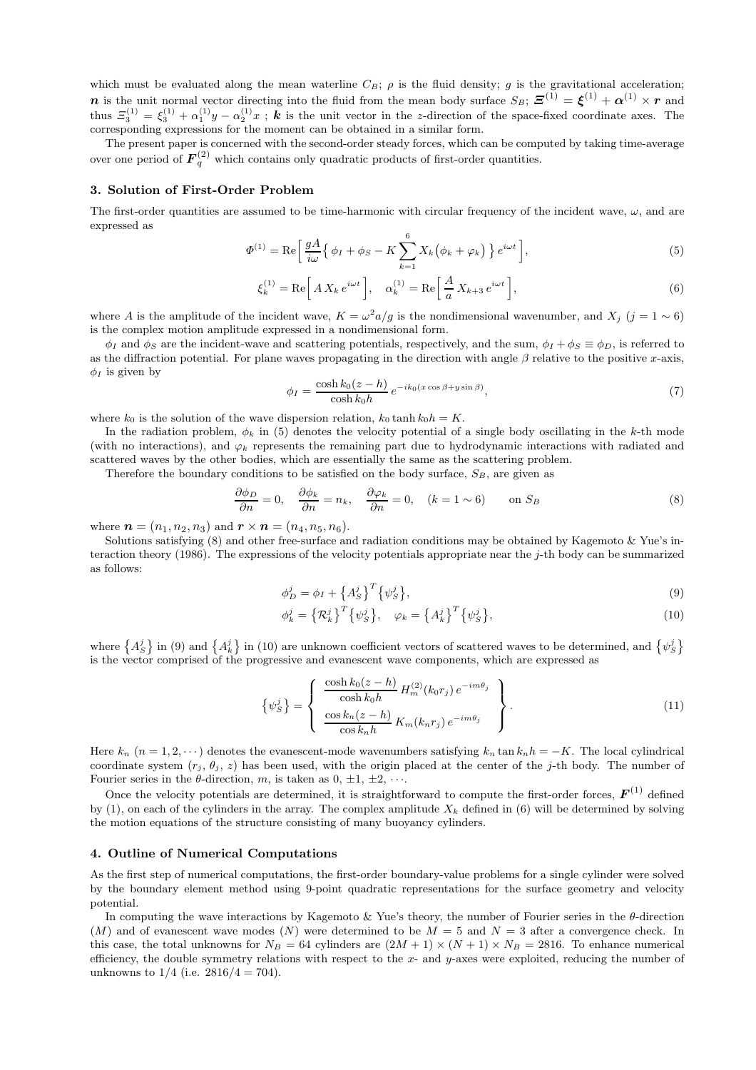which must be evaluated along the mean waterline  $C_B$ ;  $\rho$  is the fluid density; g is the gravitational acceleration; *n* is the unit normal vector directing into the fluid from the mean body surface  $S_B$ ;  $\mathbf{Z}^{(1)} = \boldsymbol{\xi}^{(1)} + \boldsymbol{\alpha}^{(1)} \times \boldsymbol{r}$  and thus  $\mathcal{Z}_3^{(1)} = \xi_3^{(1)} + \alpha_1^{(1)}y - \alpha_2^{(1)}x$ ; **k** is the unit vector in the z-direction of the space-fixed coordinate axes. The corresponding expressions for the moment can be obtained in a similar form.

The present paper is concerned with the second-order steady forces, which can be computed by taking time-average over one period of  $F_q^{(2)}$  which contains only quadratic products of first-order quantities.

### **3. Solution of First-Order Problem**

The first-order quantities are assumed to be time-harmonic with circular frequency of the incident wave,  $\omega$ , and are expressed as

$$
\Phi^{(1)} = \text{Re}\left[\frac{gA}{i\omega}\left\{\phi_I + \phi_S - K\sum_{k=1}^6 X_k\left(\phi_k + \varphi_k\right)\right\}e^{i\omega t}\right],\tag{5}
$$

$$
\xi_k^{(1)} = \text{Re}\left[A X_k e^{i\omega t}\right], \quad \alpha_k^{(1)} = \text{Re}\left[\frac{A}{a} X_{k+3} e^{i\omega t}\right],\tag{6}
$$

where A is the amplitude of the incident wave,  $K = \omega^2 a/g$  is the nondimensional wavenumber, and  $X_i$  (j = 1 ~ 6) is the complex motion amplitude expressed in a nondimensional form.

 $\phi_I$  and  $\phi_S$  are the incident-wave and scattering potentials, respectively, and the sum,  $\phi_I + \phi_S \equiv \phi_D$ , is referred to as the diffraction potential. For plane waves propagating in the direction with angle  $\beta$  relative to the positive x-axis,  $\phi_I$  is given by

$$
\phi_I = \frac{\cosh k_0 (z - h)}{\cosh k_0 h} e^{-ik_0 (x \cos \beta + y \sin \beta)},\tag{7}
$$

where  $k_0$  is the solution of the wave dispersion relation,  $k_0 \tanh k_0 h = K$ .

In the radiation problem,  $\phi_k$  in (5) denotes the velocity potential of a single body oscillating in the k-th mode (with no interactions), and  $\varphi_k$  represents the remaining part due to hydrodynamic interactions with radiated and scattered waves by the other bodies, which are essentially the same as the scattering problem.

Therefore the boundary conditions to be satisfied on the body surface,  $S_B$ , are given as

$$
\frac{\partial \phi_D}{\partial n} = 0, \quad \frac{\partial \phi_k}{\partial n} = n_k, \quad \frac{\partial \phi_k}{\partial n} = 0, \quad (k = 1 \sim 6) \quad \text{on } S_B
$$
\n(8)

where  $\mathbf{n} = (n_1, n_2, n_3)$  and  $\mathbf{r} \times \mathbf{n} = (n_4, n_5, n_6)$ .

Solutions satisfying (8) and other free-surface and radiation conditions may be obtained by Kagemoto & Yue's interaction theory (1986). The expressions of the velocity potentials appropriate near the j-th body can be summarized as follows:

$$
\phi_D^j = \phi_I + \left\{ A_S^j \right\}^T \left\{ \psi_S^j \right\},\tag{9}
$$

$$
\phi_k^j = \left\{ \mathcal{R}_k^j \right\}^T \left\{ \psi_S^j \right\}, \quad \varphi_k = \left\{ A_k^j \right\}^T \left\{ \psi_S^j \right\}, \tag{10}
$$

where  $\{A_S^j\}$  in (9) and  $\{A_k^j\}$  in (10) are unknown coefficient vectors of scattered waves to be determined, and  $\{\psi_S^j\}$ is the vector comprised of the progressive and evanescent wave components, which are expressed as

$$
\left\{\psi_S^j\right\} = \left\{\begin{array}{c} \frac{\cosh k_0(z-h)}{\cosh k_0 h} H_m^{(2)}(k_0 r_j) e^{-im\theta_j} \\ \frac{\cosh k_n(z-h)}{\cosh k_n h} K_m(k_n r_j) e^{-im\theta_j} \end{array}\right\}.
$$
\n(11)

Here  $k_n$   $(n = 1, 2, \dots)$  denotes the evanescent-mode wavenumbers satisfying  $k_n$  tan  $k_n h = -K$ . The local cylindrical coordinate system  $(r_j, \theta_j, z)$  has been used, with the origin placed at the center of the j-th body. The number of Fourier series in the  $\theta$ -direction, m, is taken as  $0, \pm 1, \pm 2, \cdots$ .

Once the velocity potentials are determined, it is straightforward to compute the first-order forces,  $\boldsymbol{F}^{(1)}$  defined by (1), on each of the cylinders in the array. The complex amplitude  $X_k$  defined in (6) will be determined by solving the motion equations of the structure consisting of many buoyancy cylinders.

### **4. Outline of Numerical Computations**

As the first step of numerical computations, the first-order boundary-value problems for a single cylinder were solved by the boundary element method using 9-point quadratic representations for the surface geometry and velocity potential.

In computing the wave interactions by Kagemoto & Yue's theory, the number of Fourier series in the θ-direction  $(M)$  and of evanescent wave modes  $(N)$  were determined to be  $M = 5$  and  $N = 3$  after a convergence check. In this case, the total unknowns for  $N_B = 64$  cylinders are  $(2M + 1) \times (N + 1) \times N_B = 2816$ . To enhance numerical efficiency, the double symmetry relations with respect to the  $x$ - and  $y$ -axes were exploited, reducing the number of unknowns to  $1/4$  (i.e.  $2816/4 = 704$ ).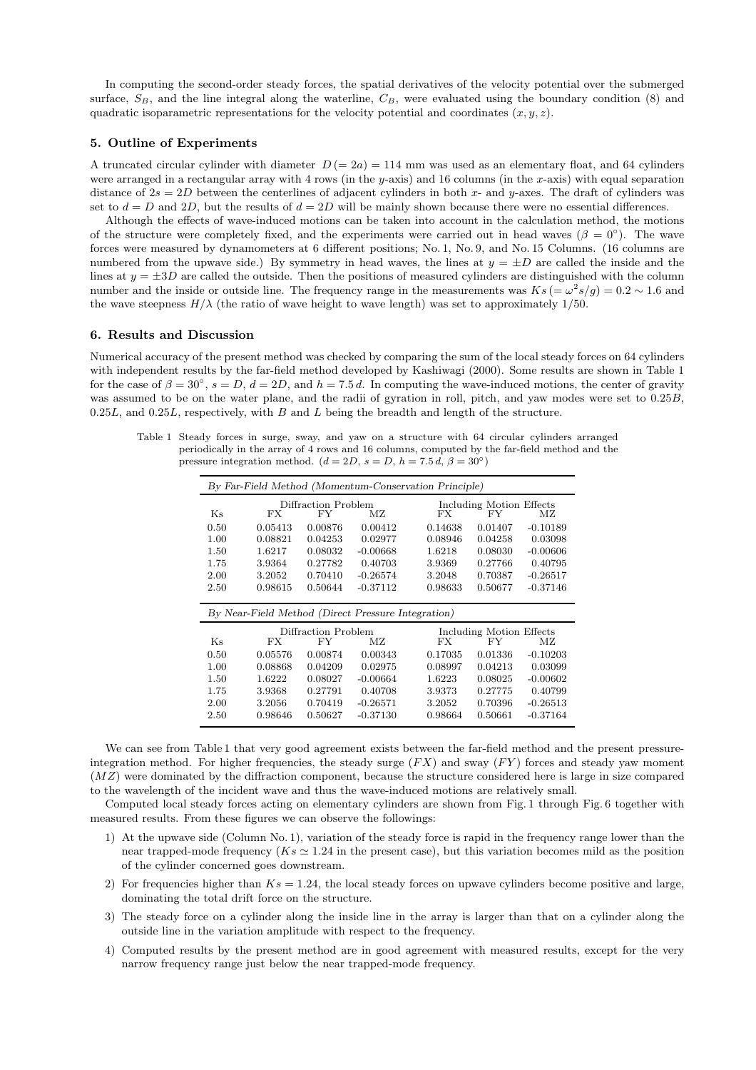In computing the second-order steady forces, the spatial derivatives of the velocity potential over the submerged surface,  $S_B$ , and the line integral along the waterline,  $C_B$ , were evaluated using the boundary condition (8) and quadratic isoparametric representations for the velocity potential and coordinates  $(x, y, z)$ .

# **5. Outline of Experiments**

A truncated circular cylinder with diameter  $D (= 2a) = 114$  mm was used as an elementary float, and 64 cylinders were arranged in a rectangular array with 4 rows (in the y-axis) and 16 columns (in the x-axis) with equal separation distance of  $2s = 2D$  between the centerlines of adjacent cylinders in both x- and y-axes. The draft of cylinders was set to  $d = D$  and 2D, but the results of  $d = 2D$  will be mainly shown because there were no essential differences.

Although the effects of wave-induced motions can be taken into account in the calculation method, the motions of the structure were completely fixed, and the experiments were carried out in head waves ( $\beta = 0^{\circ}$ ). The wave forces were measured by dynamometers at 6 different positions; No. 1, No. 9, and No. 15 Columns. (16 columns are numbered from the upwave side.) By symmetry in head waves, the lines at  $y = \pm D$  are called the inside and the lines at  $y = \pm 3D$  are called the outside. Then the positions of measured cylinders are distinguished with the column number and the inside or outside line. The frequency range in the measurements was  $Ks = \omega^2 s/g = 0.2 \sim 1.6$  and the wave steepness  $H/\lambda$  (the ratio of wave height to wave length) was set to approximately 1/50.

#### **6. Results and Discussion**

Numerical accuracy of the present method was checked by comparing the sum of the local steady forces on 64 cylinders with independent results by the far-field method developed by Kashiwagi (2000). Some results are shown in Table 1 for the case of  $\beta = 30^{\circ}$ ,  $s = D$ ,  $d = 2D$ , and  $h = 7.5 d$ . In computing the wave-induced motions, the center of gravity was assumed to be on the water plane, and the radii of gyration in roll, pitch, and yaw modes were set to 0.25B,  $0.25L$ , and  $0.25L$ , respectively, with B and L being the breadth and length of the structure.

Table 1 Steady forces in surge, sway, and yaw on a structure with 64 circular cylinders arranged periodically in the array of 4 rows and 16 columns, computed by the far-field method and the pressure integration method.  $(d = 2D, s = D, h = 7.5 d, \beta = 30°)$ 

| By Far-Field Method (Momentum-Conservation Principle) |                                  |
|-------------------------------------------------------|----------------------------------|
| Diffraction Problem                                   | Including Motion Effects         |
| Ks<br>FX.<br>FY<br>МZ                                 | FX.<br>МZ<br>FY                  |
| 0.50<br>0.05413<br>0.00876<br>0.00412                 | 0.14638<br>0.01407<br>$-0.10189$ |
| 1.00<br>0.08821<br>0.04253<br>0.02977                 | 0.08946<br>0.04258<br>0.03098    |
| 1.50<br>1.6217<br>0.08032<br>$-0.00668$<br>1.6218     | 0.08030<br>$-0.00606$            |
| 1.75<br>0.27782<br>0.40703<br>3.9364<br>3.9369        | 0.27766<br>0.40795               |
| 2.00<br>3.2052<br>0.70410<br>$-0.26574$<br>3.2048     | 0.70387<br>$-0.26517$            |
| 0.50644<br>$-0.37112$<br>2.50<br>0.98615              | 0.98633<br>0.50677<br>$-0.37146$ |
|                                                       |                                  |
| By Near-Field Method (Direct Pressure Integration)    |                                  |
| Diffraction Problem                                   | Including Motion Effects         |
| $K_{S}$<br>FX.<br>FY<br>МZ                            | FX<br>МZ<br>FY                   |
| 0.50<br>0.05576<br>0.00874<br>0.00343                 | 0.17035<br>0.01336<br>$-0.10203$ |
| 0.04209<br>1.00<br>0.08868<br>0.02975                 | 0.03099<br>0.08997<br>0.04213    |
| 1.50<br>1.6222<br>0.08027<br>$-0.00664$<br>1.6223     | 0.08025<br>$-0.00602$            |
| 1.75<br>3.9368<br>0.27791<br>0.40708<br>3.9373        | 0.40799<br>0.27775               |
| 0.70419<br>$-0.26571$<br>2.00<br>3.2056<br>3.2052     | 0.70396<br>$-0.26513$            |
| 0.50627<br>$-0.37130$<br>2.50<br>0.98646              | $-0.37164$<br>0.98664<br>0.50661 |

We can see from Table 1 that very good agreement exists between the far-field method and the present pressureintegration method. For higher frequencies, the steady surge  $(FX)$  and sway  $(FY)$  forces and steady yaw moment (MZ) were dominated by the diffraction component, because the structure considered here is large in size compared to the wavelength of the incident wave and thus the wave-induced motions are relatively small.

Computed local steady forces acting on elementary cylinders are shown from Fig. 1 through Fig. 6 together with measured results. From these figures we can observe the followings:

- 1) At the upwave side (Column No. 1), variation of the steady force is rapid in the frequency range lower than the near trapped-mode frequency  $(Ks \approx 1.24$  in the present case), but this variation becomes mild as the position of the cylinder concerned goes downstream.
- 2) For frequencies higher than  $Ks = 1.24$ , the local steady forces on upwave cylinders become positive and large, dominating the total drift force on the structure.
- 3) The steady force on a cylinder along the inside line in the array is larger than that on a cylinder along the outside line in the variation amplitude with respect to the frequency.
- 4) Computed results by the present method are in good agreement with measured results, except for the very narrow frequency range just below the near trapped-mode frequency.